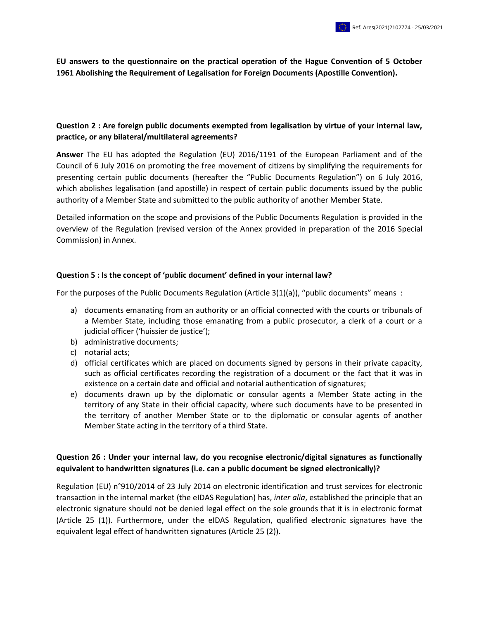**EU answers to the questionnaire on the practical operation of the Hague Convention of 5 October 1961 Abolishing the Requirement of Legalisation for Foreign Documents (Apostille Convention).**

## **Question 2 : Are foreign public documents exempted from legalisation by virtue of your internal law, practice, or any bilateral/multilateral agreements?**

**Answer** The EU has adopted the Regulation (EU) 2016/1191 of the European Parliament and of the Council of 6 July 2016 on promoting the free movement of citizens by simplifying the requirements for presenting certain public documents (hereafter the "Public Documents Regulation") on 6 July 2016, which abolishes legalisation (and apostille) in respect of certain public documents issued by the public authority of a Member State and submitted to the public authority of another Member State.

Detailed information on the scope and provisions of the Public Documents Regulation is provided in the overview of the Regulation (revised version of the Annex provided in preparation of the 2016 Special Commission) in Annex.

#### **Question 5 : Is the concept of 'public document' defined in your internal law?**

For the purposes of the Public Documents Regulation (Article 3(1)(a)), "public documents" means :

- a) documents emanating from an authority or an official connected with the courts or tribunals of a Member State, including those emanating from a public prosecutor, a clerk of a court or a judicial officer ('huissier de justice');
- b) administrative documents;
- c) notarial acts;
- d) official certificates which are placed on documents signed by persons in their private capacity, such as official certificates recording the registration of a document or the fact that it was in existence on a certain date and official and notarial authentication of signatures;
- e) documents drawn up by the diplomatic or consular agents a Member State acting in the territory of any State in their official capacity, where such documents have to be presented in the territory of another Member State or to the diplomatic or consular agents of another Member State acting in the territory of a third State.

## **Question 26 : Under your internal law, do you recognise electronic/digital signatures as functionally equivalent to handwritten signatures (i.e. can a public document be signed electronically)?**

Regulation (EU) n°910/2014 of 23 July 2014 on electronic identification and trust services for electronic transaction in the internal market (the eIDAS Regulation) has, *inter alia*, established the principle that an electronic signature should not be denied legal effect on the sole grounds that it is in electronic format (Article 25 (1)). Furthermore, under the eIDAS Regulation, qualified electronic signatures have the equivalent legal effect of handwritten signatures (Article 25 (2)).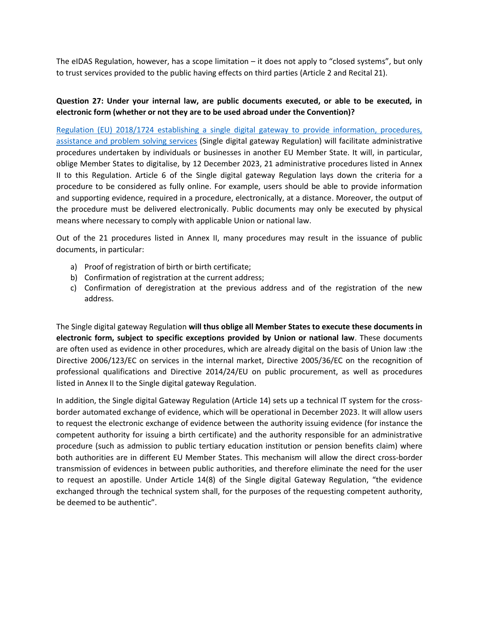The eIDAS Regulation, however, has a scope limitation – it does not apply to "closed systems", but only to trust services provided to the public having effects on third parties (Article 2 and Recital 21).

# **Question 27: Under your internal law, are public documents executed, or able to be executed, in electronic form (whether or not they are to be used abroad under the Convention)?**

[Regulation \(EU\) 2018/1724 establishing a single digital gateway to provide information, procedures,](https://eur-lex.europa.eu/legal-content/EN/TXT/?uri=uriserv:OJ.L_.2018.295.01.0001.01.ENG&toc=OJ:L:2018:295:TOC)  [assistance and problem solving services](https://eur-lex.europa.eu/legal-content/EN/TXT/?uri=uriserv:OJ.L_.2018.295.01.0001.01.ENG&toc=OJ:L:2018:295:TOC) (Single digital gateway Regulation) will facilitate administrative procedures undertaken by individuals or businesses in another EU Member State. It will, in particular, oblige Member States to digitalise, by 12 December 2023, 21 administrative procedures listed in Annex II to this Regulation. Article 6 of the Single digital gateway Regulation lays down the criteria for a procedure to be considered as fully online. For example, users should be able to provide information and supporting evidence, required in a procedure, electronically, at a distance. Moreover, the output of the procedure must be delivered electronically. Public documents may only be executed by physical means where necessary to comply with applicable Union or national law.

Out of the 21 procedures listed in Annex II, many procedures may result in the issuance of public documents, in particular:

- a) Proof of registration of birth or birth certificate;
- b) Confirmation of registration at the current address;
- c) Confirmation of deregistration at the previous address and of the registration of the new address.

The Single digital gateway Regulation **will thus oblige all Member States to execute these documents in electronic form, subject to specific exceptions provided by Union or national law**. These documents are often used as evidence in other procedures, which are already digital on the basis of Union law :the Directive 2006/123/EC on services in the internal market, Directive 2005/36/EC on the recognition of professional qualifications and Directive 2014/24/EU on public procurement, as well as procedures listed in Annex II to the Single digital gateway Regulation.

In addition, the Single digital Gateway Regulation (Article 14) sets up a technical IT system for the crossborder automated exchange of evidence, which will be operational in December 2023. It will allow users to request the electronic exchange of evidence between the authority issuing evidence (for instance the competent authority for issuing a birth certificate) and the authority responsible for an administrative procedure (such as admission to public tertiary education institution or pension benefits claim) where both authorities are in different EU Member States. This mechanism will allow the direct cross-border transmission of evidences in between public authorities, and therefore eliminate the need for the user to request an apostille. Under Article 14(8) of the Single digital Gateway Regulation, "the evidence exchanged through the technical system shall, for the purposes of the requesting competent authority, be deemed to be authentic".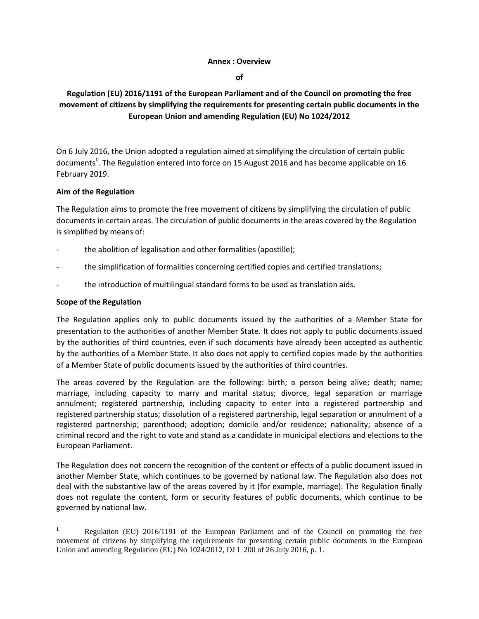#### **Annex : Overview**

**of**

# **Regulation (EU) 2016/1191 of the European Parliament and of the Council on promoting the free movement of citizens by simplifying the requirements for presenting certain public documents in the European Union and amending Regulation (EU) No 1024/2012**

On 6 July 2016, the Union adopted a regulation aimed at simplifying the circulation of certain public documents**<sup>1</sup>** . The Regulation entered into force on 15 August 2016 and has become applicable on 16 February 2019.

## **Aim of the Regulation**

The Regulation aims to promote the free movement of citizens by simplifying the circulation of public documents in certain areas. The circulation of public documents in the areas covered by the Regulation is simplified by means of:

- the abolition of legalisation and other formalities (apostille);
- the simplification of formalities concerning certified copies and certified translations;
- the introduction of multilingual standard forms to be used as translation aids.

#### **Scope of the Regulation**

l

The Regulation applies only to public documents issued by the authorities of a Member State for presentation to the authorities of another Member State. It does not apply to public documents issued by the authorities of third countries, even if such documents have already been accepted as authentic by the authorities of a Member State. It also does not apply to certified copies made by the authorities of a Member State of public documents issued by the authorities of third countries.

The areas covered by the Regulation are the following: birth; a person being alive; death; name; marriage, including capacity to marry and marital status; divorce, legal separation or marriage annulment; registered partnership, including capacity to enter into a registered partnership and registered partnership status; dissolution of a registered partnership, legal separation or annulment of a registered partnership; parenthood; adoption; domicile and/or residence; nationality; absence of a criminal record and the right to vote and stand as a candidate in municipal elections and elections to the European Parliament.

The Regulation does not concern the recognition of the content or effects of a public document issued in another Member State, which continues to be governed by national law. The Regulation also does not deal with the substantive law of the areas covered by it (for example, marriage). The Regulation finally does not regulate the content, form or security features of public documents, which continue to be governed by national law.

**<sup>1</sup>** Regulation (EU) 2016/1191 of the European Parliament and of the Council on promoting the free movement of citizens by simplifying the requirements for presenting certain public documents in the European Union and amending Regulation (EU) No 1024/2012, OJ L 200 of 26 July 2016, p. 1.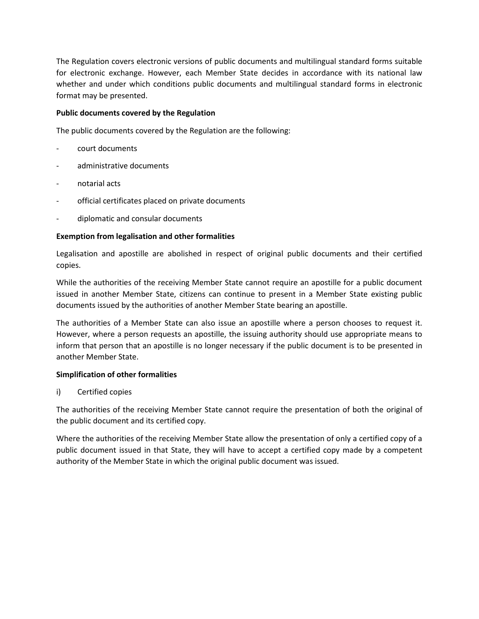The Regulation covers electronic versions of public documents and multilingual standard forms suitable for electronic exchange. However, each Member State decides in accordance with its national law whether and under which conditions public documents and multilingual standard forms in electronic format may be presented.

### **Public documents covered by the Regulation**

The public documents covered by the Regulation are the following:

- court documents
- administrative documents
- notarial acts
- official certificates placed on private documents
- diplomatic and consular documents

## **Exemption from legalisation and other formalities**

Legalisation and apostille are abolished in respect of original public documents and their certified copies.

While the authorities of the receiving Member State cannot require an apostille for a public document issued in another Member State, citizens can continue to present in a Member State existing public documents issued by the authorities of another Member State bearing an apostille.

The authorities of a Member State can also issue an apostille where a person chooses to request it. However, where a person requests an apostille, the issuing authority should use appropriate means to inform that person that an apostille is no longer necessary if the public document is to be presented in another Member State.

#### **Simplification of other formalities**

i) Certified copies

The authorities of the receiving Member State cannot require the presentation of both the original of the public document and its certified copy.

Where the authorities of the receiving Member State allow the presentation of only a certified copy of a public document issued in that State, they will have to accept a certified copy made by a competent authority of the Member State in which the original public document was issued.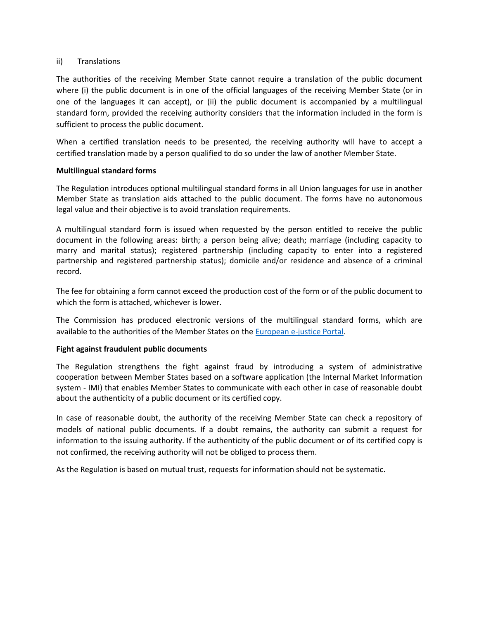#### ii) Translations

The authorities of the receiving Member State cannot require a translation of the public document where (i) the public document is in one of the official languages of the receiving Member State (or in one of the languages it can accept), or (ii) the public document is accompanied by a multilingual standard form, provided the receiving authority considers that the information included in the form is sufficient to process the public document.

When a certified translation needs to be presented, the receiving authority will have to accept a certified translation made by a person qualified to do so under the law of another Member State.

#### **Multilingual standard forms**

The Regulation introduces optional multilingual standard forms in all Union languages for use in another Member State as translation aids attached to the public document. The forms have no autonomous legal value and their objective is to avoid translation requirements.

A multilingual standard form is issued when requested by the person entitled to receive the public document in the following areas: birth; a person being alive; death; marriage (including capacity to marry and marital status); registered partnership (including capacity to enter into a registered partnership and registered partnership status); domicile and/or residence and absence of a criminal record.

The fee for obtaining a form cannot exceed the production cost of the form or of the public document to which the form is attached, whichever is lower.

The Commission has produced electronic versions of the multilingual standard forms, which are available to the authorities of the Member States on the [European e-justice Portal.](https://beta.e-justice.europa.eu/551/EN/public_documents?init=true)

#### **Fight against fraudulent public documents**

The Regulation strengthens the fight against fraud by introducing a system of administrative cooperation between Member States based on a software application (the Internal Market Information system - IMI) that enables Member States to communicate with each other in case of reasonable doubt about the authenticity of a public document or its certified copy.

In case of reasonable doubt, the authority of the receiving Member State can check a repository of models of national public documents. If a doubt remains, the authority can submit a request for information to the issuing authority. If the authenticity of the public document or of its certified copy is not confirmed, the receiving authority will not be obliged to process them.

As the Regulation is based on mutual trust, requests for information should not be systematic.